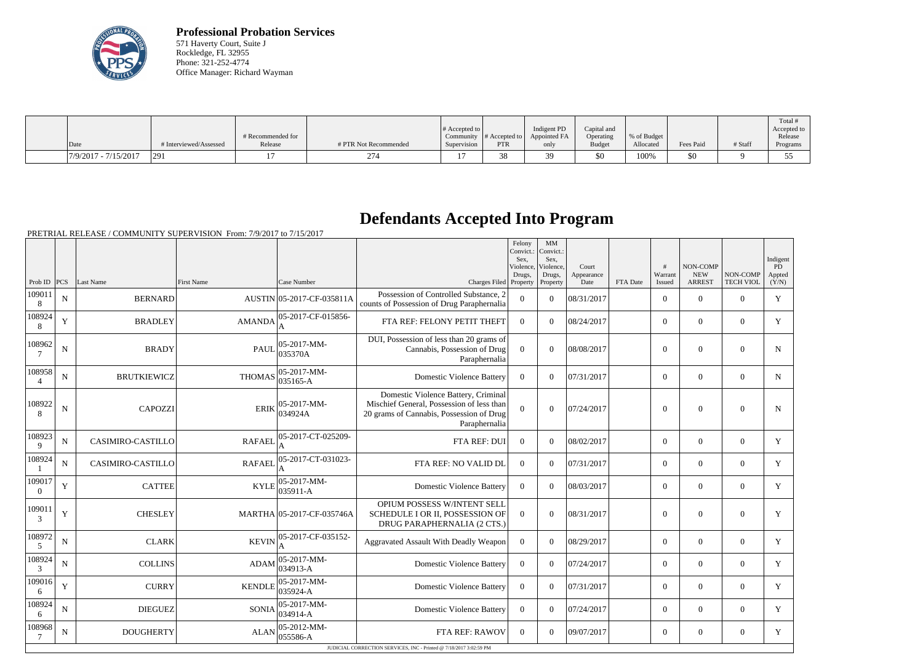

**Professional Probation Services** 571 Haverty Court, Suite J Rockledge, FL 32955 Phone: 321-252-4774 Office Manager: Richard Wayman

|                        |                        | # Recommended for |                       | $\#$ Accepted to | Community $ #$ Accepted to $ $ | Indigent PD<br>Appointed FA | Capital and<br>Operating | % of Budget |           |         | Total<br>Accepted to<br>Release |
|------------------------|------------------------|-------------------|-----------------------|------------------|--------------------------------|-----------------------------|--------------------------|-------------|-----------|---------|---------------------------------|
| Date                   | # Interviewed/Assessed | Release           | # PTR Not Recommended | Supervision      | <b>PTR</b>                     | only                        | <b>Budget</b>            | Allocated   | Fees Paid | # Staff | Programs                        |
| $7/9/2017 - 7/15/2017$ | <b>291</b>             |                   | 274                   |                  | 38.                            |                             | \$0                      | 100%        | \$0       |         | ັ                               |

## **Defendants Accepted Into Program**

PRETRIAL RELEASE / COMMUNITY SUPERVISION From: 7/9/2017 to 7/15/2017

|                          |             |                    |                   |                                      |                                                                                                                                               | Felony<br>Convict.:<br>Sex.<br>Violence.<br>Drugs. | MM<br>Convict.:<br>Sex.<br>Violence.<br>Drugs, | Court<br>Appearance |          | #<br>Warrant   | <b>NON-COMP</b><br><b>NEW</b> | NON-COMP         | Indigent<br>PD<br>Appted |
|--------------------------|-------------|--------------------|-------------------|--------------------------------------|-----------------------------------------------------------------------------------------------------------------------------------------------|----------------------------------------------------|------------------------------------------------|---------------------|----------|----------------|-------------------------------|------------------|--------------------------|
| Prob ID                  | PCS         | Last Name          | <b>First Name</b> | Case Number                          | Charges Filed Property                                                                                                                        |                                                    | Property                                       | Date                | FTA Date | <b>Issued</b>  | <b>ARREST</b>                 | <b>TECH VIOL</b> | (Y/N)                    |
| 109011<br>8              | ${\bf N}$   | <b>BERNARD</b>     |                   | AUSTIN 05-2017-CF-035811A            | Possession of Controlled Substance, 2<br>counts of Possession of Drug Paraphernalia                                                           | $\mathbf{0}$                                       | $\Omega$                                       | 08/31/2017          |          | $\overline{0}$ | $\boldsymbol{0}$              | $\overline{0}$   | Y                        |
| 108924<br>8              | Y           | <b>BRADLEY</b>     | <b>AMANDA</b>     | 05-2017-CF-015856-                   | FTA REF: FELONY PETIT THEFT                                                                                                                   | $\overline{0}$                                     | $\Omega$                                       | 08/24/2017          |          | $\overline{0}$ | $\theta$                      | $\mathbf{0}$     | Y                        |
| 108962                   | ${\bf N}$   | <b>BRADY</b>       | <b>PAUL</b>       | $ 05-2017-MM-$<br>035370A            | DUI, Possession of less than 20 grams of<br>Cannabis, Possession of Drug<br>Paraphernalia                                                     | $\overline{0}$                                     | $\overline{0}$                                 | 08/08/2017          |          | $\mathbf{0}$   | $\boldsymbol{0}$              | $\mathbf{0}$     | $\mathbf N$              |
| 108958<br>$\overline{4}$ | N           | <b>BRUTKIEWICZ</b> |                   | $ 035165 - A$                        | <b>Domestic Violence Battery</b>                                                                                                              | $\Omega$                                           | $\Omega$                                       | 07/31/2017          |          | $\overline{0}$ | $\mathbf{0}$                  | $\overline{0}$   | N                        |
| 108922<br>8              | ${\bf N}$   | <b>CAPOZZI</b>     | <b>ERIK</b>       | 05-2017-MM-<br>034924A               | Domestic Violence Battery, Criminal<br>Mischief General, Possession of less than<br>20 grams of Cannabis, Possession of Drug<br>Paraphernalia | $\theta$                                           | $\theta$                                       | 07/24/2017          |          | $\mathbf{0}$   | $\overline{0}$                | $\mathbf{0}$     | N                        |
| 108923<br>9              | $\mathbf N$ | CASIMIRO-CASTILLO  | <b>RAFAEL</b>     | 05-2017-CT-025209-                   | FTA REF: DUI                                                                                                                                  | $\Omega$                                           | $\Omega$                                       | 08/02/2017          |          | $\overline{0}$ | $\theta$                      | $\overline{0}$   | Y                        |
| 108924                   | N           | CASIMIRO-CASTILLO  | <b>RAFAEL</b>     | 05-2017-CT-031023-                   | FTA REF: NO VALID DL                                                                                                                          | $\Omega$                                           | $\Omega$                                       | 07/31/2017          |          | $\overline{0}$ | $\theta$                      | $\Omega$         | Y                        |
| 109017<br>$\Omega$       | Y           | <b>CATTEE</b>      | KYLE              | 05-2017-MM-<br>035911-A              | <b>Domestic Violence Battery</b>                                                                                                              | $\mathbf{0}$                                       | $\Omega$                                       | 08/03/2017          |          | $\overline{0}$ | $\boldsymbol{0}$              | $\overline{0}$   | Y                        |
| 109011<br>3              | $\mathbf Y$ | <b>CHESLEY</b>     |                   | MARTHA 05-2017-CF-035746A            | OPIUM POSSESS W/INTENT SELL<br>SCHEDULE I OR II, POSSESSION OF<br>DRUG PARAPHERNALIA (2 CTS.)                                                 | $\Omega$                                           | $\theta$                                       | 08/31/2017          |          | $\overline{0}$ | $\mathbf{0}$                  | $\overline{0}$   | Y                        |
| 108972<br>$\mathfrak{S}$ | ${\bf N}$   | <b>CLARK</b>       | <b>KEVIN</b>      | 05-2017-CF-035152-<br>A              | Aggravated Assault With Deadly Weapon                                                                                                         | $\boldsymbol{0}$                                   | $\Omega$                                       | 08/29/2017          |          | $\overline{0}$ | $\mathbf{0}$                  | $\overline{0}$   | Y                        |
| 108924<br>3              | $\mathbf N$ | <b>COLLINS</b>     | <b>ADAM</b>       | 05-2017-MM-<br>034913-A              | <b>Domestic Violence Battery</b>                                                                                                              | $\boldsymbol{0}$                                   | $\Omega$                                       | 07/24/2017          |          | $\Omega$       | $\theta$                      | $\Omega$         | Y                        |
| 109016<br>6              | $\mathbf Y$ | <b>CURRY</b>       | <b>KENDLE</b>     | $ 05-2017-MM-$<br>035924-A           | <b>Domestic Violence Battery</b>                                                                                                              | $\boldsymbol{0}$                                   | $\Omega$                                       | 07/31/2017          |          | $\Omega$       | $\theta$                      | $\Omega$         | Y                        |
| 108924<br>6              | N           | <b>DIEGUEZ</b>     | SONIA             | $ 05 - 2017 - MM -$<br>$ 034914 - A$ | <b>Domestic Violence Battery</b>                                                                                                              | $\overline{0}$                                     | $\Omega$                                       | 07/24/2017          |          | $\Omega$       | $\theta$                      | $\Omega$         | Y                        |
| 108968                   | $\mathbf N$ | <b>DOUGHERTY</b>   | <b>ALAN</b>       | $ 05 - 2012 - MM -$<br>055586-A      | FTA REF: RAWOV                                                                                                                                | $\Omega$                                           | $\Omega$                                       | 09/07/2017          |          | $\overline{0}$ | $\theta$                      | $\overline{0}$   | Y                        |
|                          |             |                    |                   |                                      | JUDICIAL CORRECTION SERVICES, INC - Printed @ 7/18/2017 3:02:59 PM                                                                            |                                                    |                                                |                     |          |                |                               |                  |                          |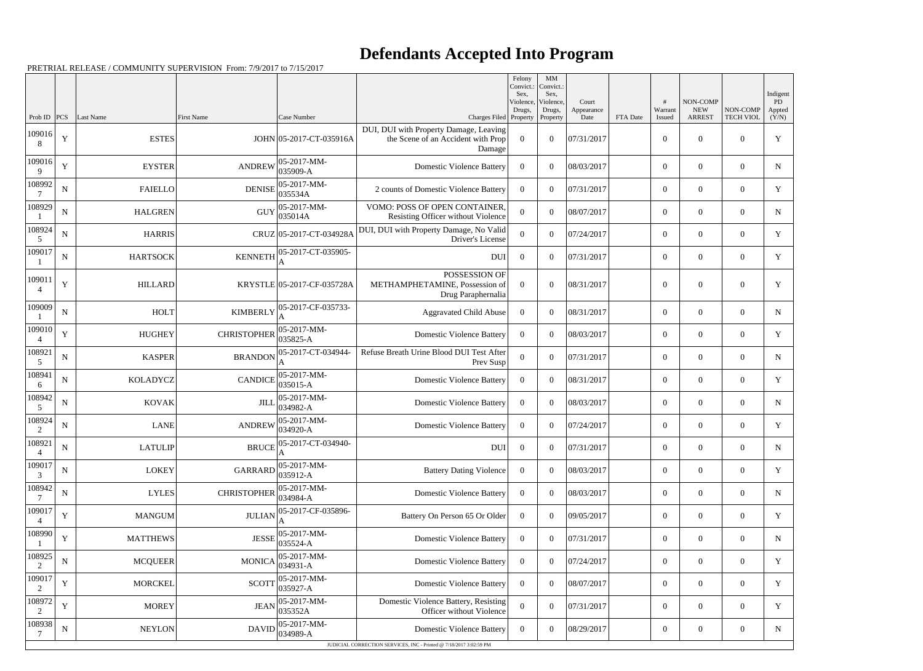## **Defendants Accepted Into Program**

PRETRIAL RELEASE / COMMUNITY SUPERVISION From: 7/9/2017 to 7/15/2017

|                       |             |                 |                    |                                                                                |                                                                                        | Felony<br>Convict.:<br>Sex. | MM<br>Convict.:<br>Sex,         |                             |          |                   |                                         |                              | Indigent                     |
|-----------------------|-------------|-----------------|--------------------|--------------------------------------------------------------------------------|----------------------------------------------------------------------------------------|-----------------------------|---------------------------------|-----------------------------|----------|-------------------|-----------------------------------------|------------------------------|------------------------------|
| Prob ID               | PCS         | Last Name       | First Name         | Case Number                                                                    | Charges Filed Property                                                                 | Violence,<br>Drugs,         | Violence,<br>Drugs,<br>Property | Court<br>Appearance<br>Date | FTA Date | Warrant<br>Issued | NON-COMP<br><b>NEW</b><br><b>ARREST</b> | NON-COMP<br><b>TECH VIOL</b> | <b>PD</b><br>Appted<br>(Y/N) |
| 109016<br>8           | $\mathbf Y$ | <b>ESTES</b>    |                    | JOHN 05-2017-CT-035916A                                                        | DUI, DUI with Property Damage, Leaving<br>the Scene of an Accident with Prop<br>Damage | $\Omega$                    | $\Omega$                        | 07/31/2017                  |          | $\overline{0}$    | $\Omega$                                | $\Omega$                     | $\mathbf Y$                  |
| 109016<br>$\mathbf Q$ | Y           | <b>EYSTER</b>   | <b>ANDREW</b>      | 05-2017-MM-<br>035909-A                                                        | <b>Domestic Violence Battery</b>                                                       | $\Omega$                    | $\Omega$                        | 08/03/2017                  |          | $\overline{0}$    | $\Omega$                                | $\Omega$                     | N                            |
| 108992                | $\mathbf N$ | <b>FAIELLO</b>  | <b>DENISE</b>      | 05-2017-MM-<br>035534A                                                         | 2 counts of Domestic Violence Battery                                                  | $\overline{0}$              | $\theta$                        | 07/31/2017                  |          | $\overline{0}$    | $\Omega$                                | $\Omega$                     | Y                            |
| 108929                | N           | <b>HALGREN</b>  | <b>GUY</b>         | $05-2017-MM$ -<br>035014A                                                      | VOMO: POSS OF OPEN CONTAINER,<br>Resisting Officer without Violence                    | $\theta$                    | $\Omega$                        | 08/07/2017                  |          | $\overline{0}$    | $\overline{0}$                          | $\Omega$                     | N                            |
| 108924<br>5           | $\mathbf N$ | <b>HARRIS</b>   |                    | CRUZ 05-2017-CT-034928A                                                        | DUI, DUI with Property Damage, No Valid<br>Driver's License                            | $\theta$                    | $\Omega$                        | 07/24/2017                  |          | $\boldsymbol{0}$  | $\Omega$                                | $\Omega$                     | $\mathbf Y$                  |
| 109017                | N           | <b>HARTSOCK</b> | <b>KENNETH</b>     | 05-2017-CT-035905-                                                             | <b>DUI</b>                                                                             | $\Omega$                    | $\Omega$                        | 07/31/2017                  |          | $\boldsymbol{0}$  | $\overline{0}$                          | $\Omega$                     | Y                            |
| 109011<br>4           | Y           | <b>HILLARD</b>  |                    | KRYSTLE 05-2017-CF-035728A                                                     | POSSESSION OF<br>METHAMPHETAMINE, Possession of<br>Drug Paraphernalia                  | $\Omega$                    | $\theta$                        | 08/31/2017                  |          | $\overline{0}$    | $\Omega$                                | $\Omega$                     | Y                            |
| 109009                | ${\bf N}$   | <b>HOLT</b>     | <b>KIMBERLY</b>    | 05-2017-CF-035733-                                                             | <b>Aggravated Child Abuse</b>                                                          | $\Omega$                    | $\Omega$                        | 08/31/2017                  |          | $\overline{0}$    | $\overline{0}$                          | $\theta$                     | N                            |
| 109010                | Y           | <b>HUGHEY</b>   | <b>CHRISTOPHER</b> | 05-2017-MM-<br>035825-A                                                        | <b>Domestic Violence Battery</b>                                                       | $\Omega$                    | $\theta$                        | 08/03/2017                  |          | $\boldsymbol{0}$  | $\Omega$                                | $\theta$                     | $\mathbf Y$                  |
| 108921<br>5           | N           | <b>KASPER</b>   | <b>BRANDON</b>     | 05-2017-CT-034944-                                                             | Refuse Breath Urine Blood DUI Test After<br>Prev Susp                                  | $\overline{0}$              | $\theta$                        | 07/31/2017                  |          | $\mathbf{0}$      | $\Omega$                                | $\Omega$                     | N                            |
| 108941<br>6           | $\mathbf N$ | <b>KOLADYCZ</b> | <b>CANDICE</b>     | 05-2017-MM-<br>035015-A                                                        | <b>Domestic Violence Battery</b>                                                       | $\overline{0}$              | $\Omega$                        | 08/31/2017                  |          | $\overline{0}$    | $\Omega$                                | $\theta$                     | Y                            |
| 108942<br>5           | N           | <b>KOVAK</b>    | <b>JILL</b>        | 05-2017-MM-<br>034982-A                                                        | <b>Domestic Violence Battery</b>                                                       | $\Omega$                    | $\Omega$                        | 08/03/2017                  |          | $\mathbf{0}$      | $\overline{0}$                          | $\overline{0}$               | N                            |
| 108924<br>2           | $\mathbf N$ | <b>LANE</b>     | <b>ANDREW</b>      | 05-2017-MM-<br>034920-A                                                        | <b>Domestic Violence Battery</b>                                                       | $\overline{0}$              | $\theta$                        | 07/24/2017                  |          | $\overline{0}$    | $\overline{0}$                          | $\overline{0}$               | Y                            |
| 108921<br>4           | ${\bf N}$   | <b>LATULIP</b>  |                    | BRUCE $\Big _{\Lambda}^{05-\overline{2017}-\overline{\text{CT-034940-}}}$<br>A | DUI                                                                                    | $\overline{0}$              | $\overline{0}$                  | 07/31/2017                  |          | $\boldsymbol{0}$  | $\boldsymbol{0}$                        | $\overline{0}$               | $N_{\odot}$                  |
| 109017<br>3           | ${\bf N}$   | <b>LOKEY</b>    | <b>GARRARD</b>     | 05-2017-MM-<br>035912-A                                                        | <b>Battery Dating Violence</b>                                                         | $\overline{0}$              | $\boldsymbol{0}$                | 08/03/2017                  |          | $\mathbf{0}$      | $\mathbf{0}$                            | $\overline{0}$               | Y                            |
| 108942                | ${\bf N}$   | <b>LYLES</b>    | <b>CHRISTOPHER</b> | 05-2017-MM-<br>034984-A                                                        | <b>Domestic Violence Battery</b>                                                       | $\overline{0}$              | $\overline{0}$                  | 08/03/2017                  |          | $\overline{0}$    | $\boldsymbol{0}$                        | $\overline{0}$               | N                            |
| 109017                | Y           | <b>MANGUM</b>   | <b>JULIAN</b>      | 05-2017-CF-035896-                                                             | Battery On Person 65 Or Older                                                          | $\overline{0}$              | $\theta$                        | 09/05/2017                  |          | $\overline{0}$    | $\overline{0}$                          | $\overline{0}$               | Y                            |
| 108990                | $\mathbf Y$ | <b>MATTHEWS</b> | <b>JESSE</b>       | 05-2017-MM-<br>035524-A                                                        | <b>Domestic Violence Battery</b>                                                       | $\overline{0}$              | $\overline{0}$                  | 07/31/2017                  |          | $\mathbf{0}$      | $\boldsymbol{0}$                        | $\overline{0}$               | N                            |
| 108925<br>2           | ${\bf N}$   | <b>MCQUEER</b>  | <b>MONICA</b>      | 05-2017-MM-<br>$ 034931 - A$                                                   | <b>Domestic Violence Battery</b>                                                       | $\overline{0}$              | $\overline{0}$                  | 07/24/2017                  |          | $\overline{0}$    | $\overline{0}$                          | $\overline{0}$               | Y                            |
| 109017                | $\mathbf Y$ | <b>MORCKEL</b>  | <b>SCOTT</b>       | 05-2017-MM-<br>035927-A                                                        | <b>Domestic Violence Battery</b>                                                       | $\overline{0}$              | $\overline{0}$                  | 08/07/2017                  |          | $\overline{0}$    | $\boldsymbol{0}$                        | $\overline{0}$               | Y                            |
| 108972<br>2           | Y           | <b>MOREY</b>    | <b>JEAN</b>        | 05-2017-MM-<br>035352A                                                         | Domestic Violence Battery, Resisting<br>Officer without Violence                       | $\overline{0}$              | $\overline{0}$                  | 07/31/2017                  |          | $\overline{0}$    | $\boldsymbol{0}$                        | $\overline{0}$               | Y                            |
| 108938                | ${\bf N}$   | <b>NEYLON</b>   | <b>DAVID</b>       | $05-2017-MM$ -<br>034989-A                                                     | <b>Domestic Violence Battery</b>                                                       | $\overline{0}$              | $\overline{0}$                  | 08/29/2017                  |          | $\mathbf{0}$      | $\boldsymbol{0}$                        | $\boldsymbol{0}$             | N                            |
|                       |             |                 |                    |                                                                                | JUDICIAL CORRECTION SERVICES, INC - Printed @ 7/18/2017 3:02:59 PM                     |                             |                                 |                             |          |                   |                                         |                              |                              |